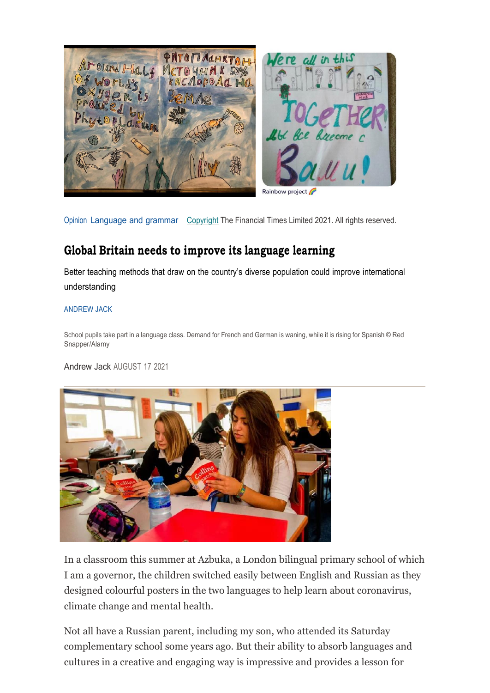

Opinion [Language](https://www.ft.com/stream/a5e2ed64-04b4-43a1-a9bf-756f5fc76762) and grammar [Copyright](http://help.ft.com/help/legal-privacy/copyright/copyright-policy/) The Financial Times Limited 2021. All rights reserved.

## **Global Britain needs to improve its language learning**

Better teaching methods that draw on the country's diverse population could improve international understanding

## [ANDREW](https://www.ft.com/stream/b359c1e1-f7ed-4239-816c-1720f99df8b4) JACK

School pupils take part in a language class. Demand for French and German is waning, while it is rising for Spanish © Red Snapper/Alamy

[Andrew](https://www.ft.com/stream/b359c1e1-f7ed-4239-816c-1720f99df8b4) Jack AUGUST 17 2021



In a classroom this summer at Azbuka, a London bilingual primary school of which I am a governor, the children switched easily between English and Russian as they designed colourful posters in the two languages to help learn about coronavirus, climate change and mental health.

Not all have a Russian parent, including my son, who attended its Saturday complementary school some years ago. But their ability to absorb languages and cultures in a creative and engaging way is impressive and provides a lesson for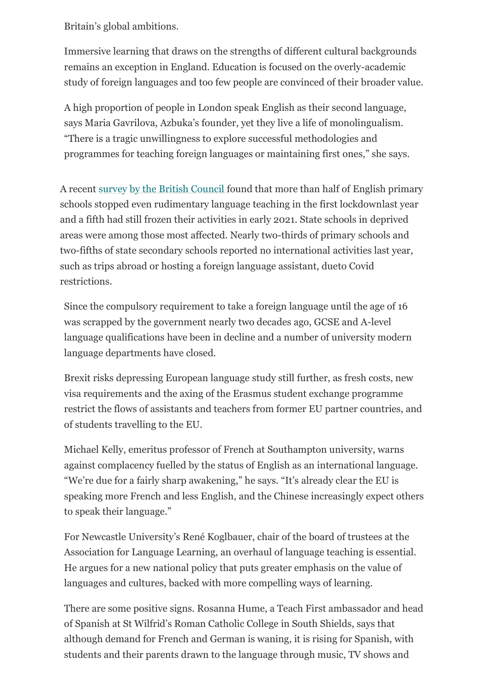Britain's global ambitions.

Immersive learning that draws on the strengths of different cultural backgrounds remains an exception in England. Education is focused on the overly-academic study of foreign languages and too few people are convinced of their broader value.

A high proportion of people in London speak English as their second language, says Maria Gavrilova, Azbuka's founder, yet they live a life of monolingualism. "There is a tragic unwillingness to explore successful methodologies and programmes for teaching foreign languages or maintaining first ones," she says.

A recent survey by the British [Council](https://www.britishcouncil.org/research-policy-insight/research-reports/language-trends-2021) found that more than half of English primary schools stopped even rudimentary language teaching in the first lockdownlast year and a fifth had still frozen their activities in early 2021. State schools in deprived areas were among those most affected. Nearly two-thirds of primary schools and two-fifths of state secondary schools reported no international activities last year, such as trips abroad or hosting a foreign language assistant, dueto Covid restrictions.

Since the compulsory requirement to take a foreign language until the age of 16 was scrapped by the government nearly two decades ago, GCSE and A-level language qualifications have been in decline and a number of university modern language departments have closed.

Brexit risks depressing European language study still further, as fresh costs, new visa requirements and the axing of the Erasmus student exchange programme restrict the flows of assistants and teachers from former EU partner countries, and of students travelling to the EU.

Michael Kelly, emeritus professor of French at Southampton university, warns against complacency fuelled by the status of English as an international language. "We're due for a fairly sharp awakening," he says. "It's already clear the EU is speaking more French and less English, and the Chinese increasingly expect others to speak their language."

For Newcastle University's René Koglbauer, chair of the board of trustees at the Association for Language Learning, an overhaul of language teaching is essential. He argues for a new national policy that puts greater emphasis on the value of languages and cultures, backed with more compelling ways of learning.

There are some positive signs. Rosanna Hume, a Teach First ambassador and head of Spanish at St Wilfrid's Roman Catholic College in South Shields, says that although demand for French and German is waning, it is rising for Spanish, with students and their parents drawn to the language through music, TV shows and